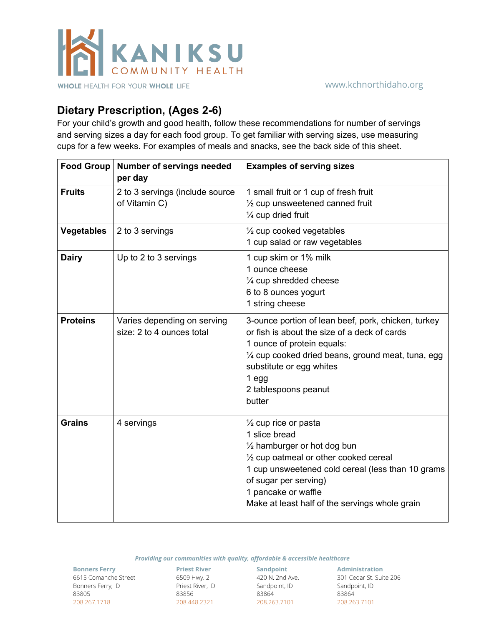

## **Dietary Prescription, (Ages 2-6)**

For your child's growth and good health, follow these recommendations for number of servings and serving sizes a day for each food group. To get familiar with serving sizes, use measuring cups for a few weeks. For examples of meals and snacks, see the back side of this sheet.

| Food Group        | <b>Number of servings needed</b><br>per day              | <b>Examples of serving sizes</b>                                                                                                                                                                                                                                                            |
|-------------------|----------------------------------------------------------|---------------------------------------------------------------------------------------------------------------------------------------------------------------------------------------------------------------------------------------------------------------------------------------------|
| <b>Fruits</b>     | 2 to 3 servings (include source<br>of Vitamin C)         | 1 small fruit or 1 cup of fresh fruit<br>$\frac{1}{2}$ cup unsweetened canned fruit<br>1/4 cup dried fruit                                                                                                                                                                                  |
| <b>Vegetables</b> | 2 to 3 servings                                          | $\frac{1}{2}$ cup cooked vegetables<br>1 cup salad or raw vegetables                                                                                                                                                                                                                        |
| <b>Dairy</b>      | Up to 2 to 3 servings                                    | 1 cup skim or 1% milk<br>1 ounce cheese<br>1/4 cup shredded cheese<br>6 to 8 ounces yogurt<br>1 string cheese                                                                                                                                                                               |
| <b>Proteins</b>   | Varies depending on serving<br>size: 2 to 4 ounces total | 3-ounce portion of lean beef, pork, chicken, turkey<br>or fish is about the size of a deck of cards<br>1 ounce of protein equals:<br>1/4 cup cooked dried beans, ground meat, tuna, egg<br>substitute or egg whites<br>$1$ egg<br>2 tablespoons peanut<br>butter                            |
| <b>Grains</b>     | 4 servings                                               | $\frac{1}{2}$ cup rice or pasta<br>1 slice bread<br>$\frac{1}{2}$ hamburger or hot dog bun<br>1/2 cup oatmeal or other cooked cereal<br>1 cup unsweetened cold cereal (less than 10 grams<br>of sugar per serving)<br>1 pancake or waffle<br>Make at least half of the servings whole grain |

*Providing our communities with quality, affordable & accessible healthcare*

**Bonners Ferry** 6615 Comanche Street Bonners Ferry, ID 83805 208.267.1718

**Priest River** 6509 Hwy. 2 Priest River, ID 83856 208.448.2321

**Sandpoint** 420 N. 2nd Ave. Sandpoint, ID 83864 208.263.7101

**Administration** 301 Cedar St. Suite 206 Sandpoint, ID 83864 208.263.7101